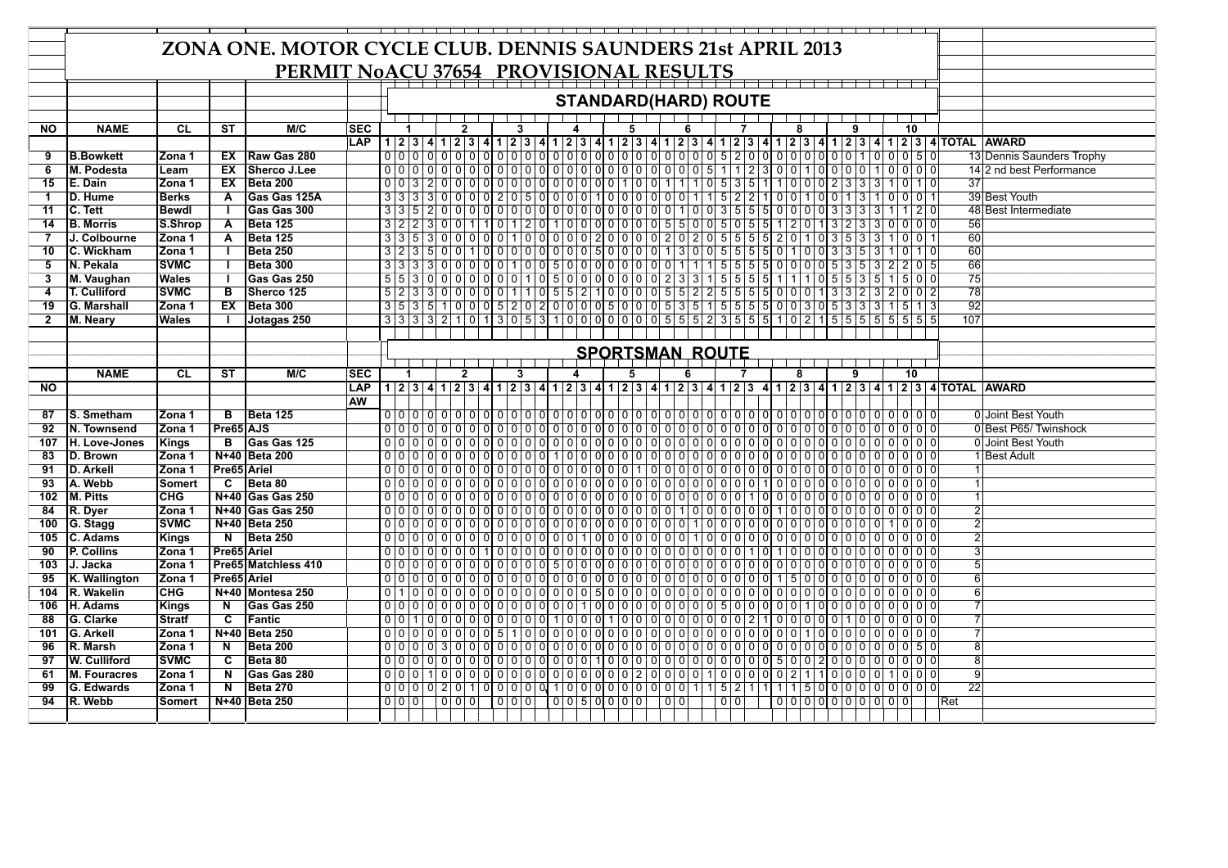|                 | ZONA ONE. MOTOR CYCLE CLUB. DENNIS SAUNDERS 21st APRIL 2013 |                        |                         |                     |            |                        |       |  |                                                                                                  |              |  |  |  |  |  |                                                   |  |  |   |  |     |   |  |     |              |                     |   |  |               |     |                |          |             |     |                 |                                                                                                                           |
|-----------------|-------------------------------------------------------------|------------------------|-------------------------|---------------------|------------|------------------------|-------|--|--------------------------------------------------------------------------------------------------|--------------|--|--|--|--|--|---------------------------------------------------|--|--|---|--|-----|---|--|-----|--------------|---------------------|---|--|---------------|-----|----------------|----------|-------------|-----|-----------------|---------------------------------------------------------------------------------------------------------------------------|
|                 | PERMIT NoACU 37654 PROVISIONAL RESULTS                      |                        |                         |                     |            |                        |       |  |                                                                                                  |              |  |  |  |  |  |                                                   |  |  |   |  |     |   |  |     |              |                     |   |  |               |     |                |          |             |     |                 |                                                                                                                           |
|                 |                                                             |                        |                         |                     |            |                        |       |  |                                                                                                  |              |  |  |  |  |  |                                                   |  |  |   |  |     |   |  |     |              |                     |   |  |               |     |                |          |             |     |                 |                                                                                                                           |
|                 |                                                             |                        |                         |                     |            |                        |       |  |                                                                                                  |              |  |  |  |  |  | <b>STANDARD(HARD) ROUTE</b>                       |  |  |   |  |     |   |  |     |              |                     |   |  |               |     |                |          |             |     |                 |                                                                                                                           |
|                 |                                                             |                        |                         |                     |            |                        |       |  |                                                                                                  |              |  |  |  |  |  |                                                   |  |  |   |  |     |   |  |     |              |                     |   |  |               |     |                |          |             |     |                 |                                                                                                                           |
| <b>NO</b>       | <b>NAME</b>                                                 | <b>CL</b>              | <b>ST</b>               | M/C                 | <b>SEC</b> |                        |       |  |                                                                                                  | $\mathbf{2}$ |  |  |  |  |  |                                                   |  |  | 5 |  |     |   |  |     |              |                     | 8 |  |               |     |                | 10       |             |     |                 |                                                                                                                           |
|                 |                                                             |                        |                         |                     | <b>LAP</b> |                        |       |  |                                                                                                  |              |  |  |  |  |  |                                                   |  |  |   |  |     |   |  |     |              |                     |   |  |               |     |                |          |             |     |                 | 1 2 3 4 1 2 3 4 1 2 3 4 1 2 3 4 1 2 3 4 1 2 3 4 1 2 3 4 1 2 3 4 1 2 3 4 1 2 3 4 1 2 3 4 1 2 3 4 1 2 3 4 1 2 3             |
| 9               | <b>B.Bowkett</b>                                            | Zona 1                 | EX                      | Raw Gas 280         |            |                        |       |  |                                                                                                  |              |  |  |  |  |  |                                                   |  |  |   |  |     |   |  |     |              |                     |   |  |               |     |                |          |             |     |                 | 13 Dennis Saunders Trophy                                                                                                 |
| 6               | M. Podesta                                                  | Leam                   | EX                      | <b>Sherco J.Lee</b> |            |                        |       |  |                                                                                                  |              |  |  |  |  |  |                                                   |  |  |   |  |     |   |  |     |              |                     |   |  |               |     |                |          | $0000$      |     |                 | 14 2 nd best Performance                                                                                                  |
| $\overline{15}$ | E. Dain                                                     | Zona 1                 | EX                      | <b>Beta 200</b>     |            |                        |       |  | $0 0 3 2 0 0 0 0 0 0 0 0 0 0 0 0 0 0 0 1 0 0 1 1 1 1 0 5 3 5 1 1 1 0 0 2 3 3 3$                  |              |  |  |  |  |  |                                                   |  |  |   |  |     |   |  |     |              |                     |   |  |               |     |                | $\Omega$ | 1 0         |     | $\overline{37}$ |                                                                                                                           |
| 1               | D. Hume                                                     | <b>Berks</b>           | $\overline{A}$          | Gas Gas 125A        |            |                        |       |  |                                                                                                  |              |  |  |  |  |  |                                                   |  |  |   |  |     |   |  |     |              |                     |   |  |               |     |                |          | 00011       |     |                 | 39 Best Youth                                                                                                             |
| 11              | C. Tett                                                     | <b>Bewdl</b>           |                         | Gas Gas 300         |            |                        | 3 3 5 |  | $20000000000000000000000000001003555000003333$                                                   |              |  |  |  |  |  |                                                   |  |  |   |  |     |   |  |     |              |                     |   |  |               | l 3 |                |          | 2 0         |     |                 | 48 Best Intermediate                                                                                                      |
| 14              | <b>B. Morris</b>                                            | S.Shrop                | $\overline{A}$          | <b>Beta 125</b>     |            |                        |       |  | $322300111012010000000055005512013233$                                                           |              |  |  |  |  |  |                                                   |  |  |   |  |     |   |  |     |              |                     |   |  |               |     |                |          | $0 0 0 0 0$ |     | 56              |                                                                                                                           |
| 7               | J. Colbourne                                                | Zona 1                 | A                       | <b>Beta 125</b>     |            |                        |       |  | $3 \mid 3 \mid 5 \mid 3 \mid 0 \mid 0 \mid 0 \mid 0 \mid 0 \mid 1 \mid 0 \mid 0$                 |              |  |  |  |  |  | $0 0 0 2 0 0 0 0 0 2 0 2 0 5 5 5 5 2 0 1 0 3 5 3$ |  |  |   |  |     |   |  |     |              |                     |   |  |               |     |                |          | 011         |     | 60              |                                                                                                                           |
| 10              | C. Wickham                                                  | Zona 1                 |                         | <b>Beta 250</b>     |            |                        |       |  | 3 2 3 5 0 0 1 0 0 0 0 0 0 0 0 0 5 0 0 0 0 1 3 0 0 5 5 5 6 0 1 0 0 3 3 5                          |              |  |  |  |  |  |                                                   |  |  |   |  |     |   |  |     |              |                     |   |  |               |     |                |          | 1 0         |     | 60              |                                                                                                                           |
| 5               | N. Pekala                                                   | <b>SVMC</b>            |                         | <b>Beta 300</b>     |            |                        |       |  | $3333000000100100500000000111555500000535$                                                       |              |  |  |  |  |  |                                                   |  |  |   |  |     |   |  |     |              |                     |   |  |               |     | 2              |          | 2 0 5       |     | 66              |                                                                                                                           |
| 3               | M. Vaughan                                                  | Wales                  |                         | Gas Gas 250         |            |                        |       |  | 5 5 3 0 0 0 0 0 0 0 1 0 5 0 0 0 0 0 0 0 0 0 2 3 3 1 5 5 5 6 1 1 1 0 5 5 3 5                      |              |  |  |  |  |  |                                                   |  |  |   |  |     |   |  |     |              |                     |   |  |               |     |                |          | 1 5 0 0     |     | 75              |                                                                                                                           |
| 4               | T. Culliford                                                | <b>SVMC</b>            | $\overline{B}$          | Sherco 125          |            |                        |       |  | $5 2 3 3 0 0 0 0 0 1 1 0 5 5 2 1 0 0 0 0 5 5 2 2 5 5 5 5 0 0 0 1 3 3 2 3 $                       |              |  |  |  |  |  |                                                   |  |  |   |  |     |   |  |     |              |                     |   |  |               |     | 2              |          | 0 0 2       |     | 78              |                                                                                                                           |
| 19              | <b>G. Marshall</b>                                          | Zona 1                 | EX                      | Beta 300            |            |                        |       |  | $3\overline{5}$ 3 $\overline{5}$ 1 0 0 0 5 2 0 2 0 0 0 0 5 0 0 0 5 3 5 1 5 5 5 6 0 0 3 0 5 3 3 3 |              |  |  |  |  |  |                                                   |  |  |   |  |     |   |  |     |              |                     |   |  |               |     | 1              |          | 5 1 3       |     | 92              |                                                                                                                           |
| $\mathbf{2}$    | M. Neary                                                    | Wales                  |                         | Jotagas 250         |            |                        |       |  | $3 3 3 3 2 1 0 1 3 0 5 3 1 0 0 0 0 0 0 0 5 5 5 2 3 5 5 5 1 0 2 1 5 5 5 5 $                       |              |  |  |  |  |  |                                                   |  |  |   |  |     |   |  |     |              |                     |   |  |               |     |                |          | 5 5 5 5     |     | 107             |                                                                                                                           |
|                 |                                                             |                        |                         |                     |            |                        |       |  |                                                                                                  |              |  |  |  |  |  |                                                   |  |  |   |  |     |   |  |     |              |                     |   |  |               |     |                |          |             |     |                 |                                                                                                                           |
|                 |                                                             |                        |                         |                     |            | <b>SPORTSMAN ROUTE</b> |       |  |                                                                                                  |              |  |  |  |  |  |                                                   |  |  |   |  |     |   |  |     |              |                     |   |  |               |     |                |          |             |     |                 |                                                                                                                           |
|                 |                                                             |                        |                         |                     |            | 10<br>9                |       |  |                                                                                                  |              |  |  |  |  |  |                                                   |  |  |   |  |     |   |  |     |              |                     |   |  |               |     |                |          |             |     |                 |                                                                                                                           |
|                 | <b>NAME</b>                                                 | $\overline{\text{CL}}$ | ST                      | M/C                 | <b>SEC</b> |                        |       |  |                                                                                                  | $\mathbf{2}$ |  |  |  |  |  |                                                   |  |  | 5 |  |     | 6 |  |     |              |                     | 8 |  |               |     |                |          |             |     |                 |                                                                                                                           |
|                 |                                                             |                        |                         |                     |            |                        |       |  |                                                                                                  |              |  |  |  |  |  |                                                   |  |  |   |  |     |   |  |     |              |                     |   |  |               |     |                |          |             |     |                 |                                                                                                                           |
| <b>NO</b>       |                                                             |                        |                         |                     | LAP        |                        |       |  |                                                                                                  |              |  |  |  |  |  |                                                   |  |  |   |  |     |   |  |     |              |                     |   |  |               |     |                |          |             |     |                 | 1 2 3 4 1 2 3 4 1 2 3 4 1 2 3 4 1 2 3 4 1 2 3 4 1 2 3 4 1 2 3 4 1 2 3 4 1 2 3 4 1 2 3 4 1 2 3 4 1 2 3 4 1 2 3 4 1 2 3 4 2 |
|                 |                                                             |                        |                         |                     | <b>AW</b>  |                        |       |  |                                                                                                  |              |  |  |  |  |  |                                                   |  |  |   |  |     |   |  |     |              |                     |   |  |               |     |                |          |             |     |                 |                                                                                                                           |
| 87              | S. Smetham                                                  | Zona 1                 | $\overline{\mathsf{B}}$ | <b>Beta 125</b>     |            |                        |       |  |                                                                                                  |              |  |  |  |  |  |                                                   |  |  |   |  |     |   |  |     |              |                     |   |  |               |     |                |          |             |     |                 | 0 Joint Best Youth                                                                                                        |
| 92              | N. Townsend                                                 | Zona 1                 | Pre65 AJS               |                     |            |                        |       |  |                                                                                                  |              |  |  |  |  |  |                                                   |  |  |   |  |     |   |  |     |              |                     |   |  |               |     |                |          |             |     |                 | 0 Best P65/ Twinshock                                                                                                     |
| 107             | H. Love-Jones                                               | Kings                  | B                       | Gas Gas 125         |            |                        |       |  |                                                                                                  |              |  |  |  |  |  |                                                   |  |  |   |  |     |   |  |     |              |                     |   |  |               |     |                |          |             |     |                 | 0 Joint Best Youth                                                                                                        |
| 83              | D. Brown                                                    | Zona 1                 |                         | N+40 Beta 200       |            |                        |       |  |                                                                                                  |              |  |  |  |  |  |                                                   |  |  |   |  |     |   |  |     |              |                     |   |  |               |     |                |          |             |     |                 | 1 Best Adult                                                                                                              |
| 91              | D. Arkell                                                   | Zona 1                 | Pre65 Ariel             |                     |            |                        |       |  |                                                                                                  |              |  |  |  |  |  |                                                   |  |  |   |  |     |   |  |     |              |                     |   |  |               |     |                |          | 00000       |     |                 |                                                                                                                           |
| 93              | A. Webb                                                     | <b>Somert</b>          | $\overline{\mathbf{c}}$ | Beta 80             |            |                        |       |  |                                                                                                  |              |  |  |  |  |  |                                                   |  |  |   |  |     |   |  |     |              |                     |   |  |               |     |                |          |             |     |                 |                                                                                                                           |
| 102             | M. Pitts                                                    | <b>CHG</b>             |                         | N+40 Gas Gas 250    |            |                        |       |  |                                                                                                  |              |  |  |  |  |  |                                                   |  |  |   |  |     |   |  |     |              |                     |   |  |               |     |                |          | 0 0 0 0     |     |                 |                                                                                                                           |
| 84              | R. Dyer                                                     | Zona 1                 |                         | N+40 Gas Gas 250    |            |                        |       |  |                                                                                                  |              |  |  |  |  |  |                                                   |  |  |   |  |     |   |  |     |              |                     |   |  |               |     |                |          | $00000$     |     |                 |                                                                                                                           |
| 100             | G. Stagg                                                    | <b>SVMC</b>            |                         | N+40 Beta 250       |            |                        |       |  |                                                                                                  |              |  |  |  |  |  |                                                   |  |  |   |  |     |   |  |     |              |                     |   |  |               |     |                |          | 0 0 0       |     |                 |                                                                                                                           |
| 105             | <b>C. Adams</b>                                             | Kings                  | $\mathbf N$             | Beta 250            |            |                        |       |  |                                                                                                  |              |  |  |  |  |  |                                                   |  |  |   |  |     |   |  |     |              |                     |   |  |               |     |                |          | 0 0 0 0     |     |                 |                                                                                                                           |
| 90              | P. Collins                                                  | Zona 1                 | Pre65 Ariel             |                     |            |                        |       |  | 0 0 0 0 0 0 0 1                                                                                  |              |  |  |  |  |  | 000000000000000000101                             |  |  |   |  |     |   |  |     |              |                     |   |  | 0 0 0 0 0 0 0 |     | $\mathbf 0$    |          | 0 0 0       |     |                 |                                                                                                                           |
| 103             | J. Jacka                                                    | Zona 1                 |                         | Pre65 Matchless 410 |            |                        |       |  |                                                                                                  |              |  |  |  |  |  |                                                   |  |  |   |  |     |   |  |     |              |                     |   |  |               |     |                |          |             |     |                 |                                                                                                                           |
| 95              | K. Wallington                                               | Zona 1                 | Pre65 Ariel             |                     |            |                        |       |  |                                                                                                  |              |  |  |  |  |  |                                                   |  |  |   |  |     |   |  |     |              |                     |   |  |               |     |                |          |             |     | 6               |                                                                                                                           |
| 104             | R. Wakelin                                                  | <b>CHG</b>             |                         | N+40 Montesa 250    |            |                        |       |  |                                                                                                  |              |  |  |  |  |  |                                                   |  |  |   |  |     |   |  |     |              |                     |   |  |               |     |                |          |             |     |                 |                                                                                                                           |
| 106             | H. Adams                                                    | <b>Kings</b>           | $\overline{\mathsf{N}}$ | Gas Gas 250         |            |                        |       |  |                                                                                                  |              |  |  |  |  |  |                                                   |  |  |   |  |     |   |  |     |              |                     |   |  |               |     |                |          |             |     |                 |                                                                                                                           |
| 88              | G. Clarke                                                   | <b>Stratf</b>          | $\overline{\mathbf{c}}$ | <b>Fantic</b>       |            |                        |       |  | 001100000000000                                                                                  |              |  |  |  |  |  | 10001010000000000021000000100                     |  |  |   |  |     |   |  |     |              |                     |   |  |               |     | $\overline{0}$ |          |             |     |                 |                                                                                                                           |
| 101             | <b>G. Arkell</b>                                            | Zona 1                 |                         | N+40 Beta 250       |            |                        |       |  |                                                                                                  |              |  |  |  |  |  |                                                   |  |  |   |  |     |   |  |     |              |                     |   |  |               |     |                |          | 0000        |     |                 |                                                                                                                           |
| 96              | R. Marsh                                                    | Zona 1                 | $\overline{\mathsf{N}}$ | <b>Beta 200</b>     |            |                        | 0 0 0 |  |                                                                                                  |              |  |  |  |  |  |                                                   |  |  |   |  |     |   |  |     |              |                     |   |  |               |     | $\overline{0}$ | $\Omega$ | 50          |     |                 |                                                                                                                           |
| 97              | <b>W. Culliford</b>                                         | <b>SVMC</b>            | $\overline{\mathbf{c}}$ | Beta 80             |            |                        |       |  |                                                                                                  |              |  |  |  |  |  |                                                   |  |  |   |  |     |   |  |     |              |                     |   |  |               |     |                |          |             |     | $\overline{8}$  |                                                                                                                           |
| 61              | <b>M. Fouracres</b>                                         | Zona 1                 | N                       | Gas Gas 280         |            |                        |       |  |                                                                                                  |              |  |  |  |  |  |                                                   |  |  |   |  |     |   |  |     | 000002110000 |                     |   |  |               |     |                |          | 0 0 0       |     | $\mathbf{Q}$    |                                                                                                                           |
| 99              | G. Edwards                                                  | Zona 1                 | $\overline{\mathsf{N}}$ | Beta 270            |            |                        |       |  |                                                                                                  |              |  |  |  |  |  |                                                   |  |  |   |  |     |   |  |     |              |                     |   |  |               |     |                |          |             |     | 22              |                                                                                                                           |
| 94              | R. Webb                                                     | Somert                 |                         | N+40 Beta 250       |            |                        | 0 0 0 |  |                                                                                                  |              |  |  |  |  |  | 0 05 000 0                                        |  |  |   |  | 0 0 |   |  | 0 0 |              | 0 0 0 0 0 0 0 0 0 0 |   |  |               |     |                |          |             | Ret |                 |                                                                                                                           |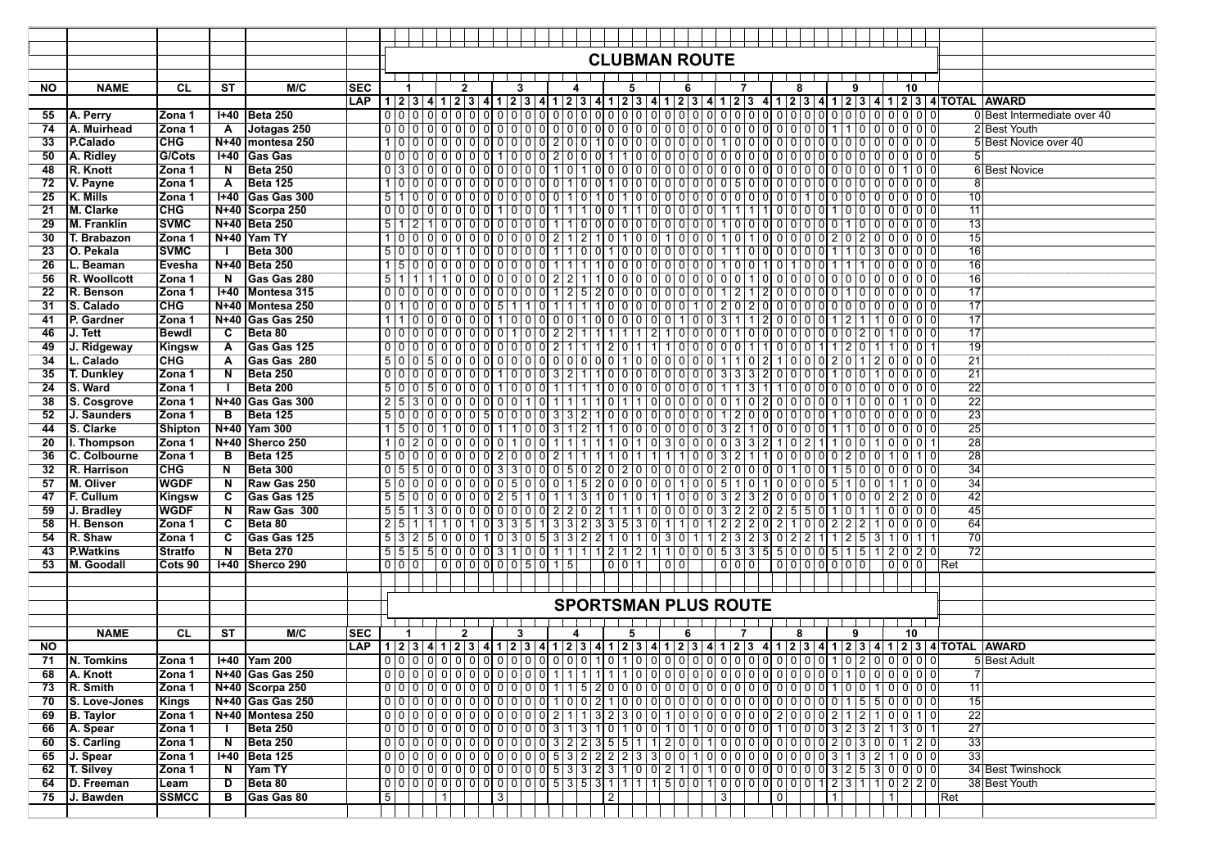|           |                          |                      |                         |                                      |            |   | <b>CLUBMAN ROUTE</b> |           |                |  |                |                          |  |   |          |       |  |     |  |                |                                                                                             |                |   |           |   |               |       |                 |                                                                                                               |
|-----------|--------------------------|----------------------|-------------------------|--------------------------------------|------------|---|----------------------|-----------|----------------|--|----------------|--------------------------|--|---|----------|-------|--|-----|--|----------------|---------------------------------------------------------------------------------------------|----------------|---|-----------|---|---------------|-------|-----------------|---------------------------------------------------------------------------------------------------------------|
|           |                          |                      |                         |                                      |            |   |                      |           |                |  |                |                          |  |   |          |       |  |     |  |                |                                                                                             |                |   |           |   |               |       |                 |                                                                                                               |
| <b>NO</b> | <b>NAME</b>              | CL                   | <b>ST</b>               | M/C                                  | <b>SEC</b> |   |                      |           | $\mathbf{2}$   |  |                |                          |  |   |          | 5     |  |     |  |                |                                                                                             |                | 8 |           | 9 |               | 10    |                 |                                                                                                               |
|           |                          |                      |                         |                                      | LAP        |   |                      |           |                |  |                |                          |  |   |          |       |  |     |  |                |                                                                                             |                |   |           |   |               |       |                 |                                                                                                               |
| 55        | A. Perry                 | Zona 1               |                         | I+40   Beta 250                      |            |   |                      |           |                |  |                |                          |  |   |          |       |  |     |  |                |                                                                                             |                |   |           |   |               |       |                 | 0 Best Intermediate over 40                                                                                   |
| 74        | A. Muirhead              | lZona 1              | A                       | Jotagas 250                          |            |   |                      |           |                |  |                |                          |  |   |          |       |  |     |  |                |                                                                                             |                |   |           |   |               |       |                 | 2Best Youth                                                                                                   |
| 33        | P.Calado                 | CHG                  |                         | N+40  montesa 250                    |            |   |                      |           |                |  |                |                          |  |   |          |       |  |     |  |                |                                                                                             |                |   |           |   |               |       |                 | 5 Best Novice over 40                                                                                         |
| 50        | A. Ridley                | G/Cots               |                         | $H = 40$ Gas Gas                     |            |   |                      |           |                |  |                |                          |  |   |          |       |  |     |  |                |                                                                                             |                |   |           |   |               |       |                 |                                                                                                               |
| 48        | R. Knott                 | Zona 1               | N                       | Beta 250                             |            |   |                      |           |                |  |                |                          |  |   |          |       |  |     |  |                |                                                                                             |                |   |           |   |               |       |                 | <b>6 Best Novice</b>                                                                                          |
| 72        | V. Payne                 | Zona 1               | A                       | Beta 125                             |            |   |                      |           |                |  |                |                          |  |   |          |       |  |     |  |                |                                                                                             |                |   |           |   |               |       | 8 <sup>1</sup>  |                                                                                                               |
| 25        | K. Mills                 | Zona 1               |                         | <b>1+40 Gas Gas 300</b>              |            |   |                      |           |                |  |                |                          |  |   |          |       |  |     |  |                |                                                                                             |                |   |           |   |               |       | $\overline{10}$ |                                                                                                               |
| 21        | M. Clarke                | <b>CHG</b>           |                         | N+40 Scorpa 250                      |            |   |                      |           |                |  |                |                          |  |   |          |       |  |     |  |                |                                                                                             |                |   |           |   |               |       | 11              |                                                                                                               |
| 29        | <b>M. Franklin</b>       | <b>SVMC</b>          |                         | N+40 Beta 250                        |            |   |                      |           |                |  |                |                          |  |   |          |       |  |     |  |                |                                                                                             |                |   |           |   |               |       | 13              |                                                                                                               |
| 30        | T. Brabazon              | Zona 1               |                         | N+40 Yam TY                          |            |   |                      |           |                |  |                |                          |  |   |          |       |  |     |  |                |                                                                                             |                |   |           |   |               |       | 15<br>16        |                                                                                                               |
| 23        | O. Pekala                | <b>SVMC</b>          |                         | <b>Beta 300</b>                      |            |   |                      |           |                |  |                |                          |  |   |          |       |  |     |  |                | 50000100000001100100100000110000011030000                                                   |                |   |           |   |               |       | 16              |                                                                                                               |
| 26        | L. Beaman                | Evesha               |                         | N+40 Beta 250                        |            |   |                      |           |                |  |                |                          |  |   |          |       |  |     |  |                |                                                                                             |                |   |           |   |               |       |                 |                                                                                                               |
| 56        | R. Woollcott             | Zona 1               | N                       | Gas Gas 280                          |            |   |                      |           |                |  |                |                          |  |   |          |       |  |     |  |                |                                                                                             |                |   |           |   |               |       | 16<br>17        |                                                                                                               |
| 22        | R. Benson                | lZona 1              |                         | I+40   Montesa 315                   |            |   |                      |           |                |  |                |                          |  |   |          |       |  |     |  |                |                                                                                             |                |   |           |   |               |       |                 |                                                                                                               |
| 31        | S. Calado<br>P. Gardner  | <b>CHG</b>           |                         | N+40 Montesa 250<br>N+40 Gas Gas 250 |            |   |                      |           |                |  |                |                          |  |   |          |       |  |     |  |                | 1 1 0 0 0 0 0 0 1 0 0 0 0 1 0 0 0 1 0 0 0 0 0 0 0 0 1 0 0 3 1 1 2 0 0 0 0 1 2 1 1 0 0 0 0 0 |                |   |           |   |               |       | 17<br>17        |                                                                                                               |
| 41<br>46  |                          | Zona 1               | C                       | Beta 80                              |            |   |                      |           |                |  |                |                          |  |   |          |       |  |     |  |                |                                                                                             |                |   |           |   |               |       | 17              |                                                                                                               |
|           | J. Tett                  | Bewdl                |                         | <b>Gas Gas 125</b>                   |            |   |                      |           |                |  |                |                          |  |   |          |       |  |     |  |                |                                                                                             |                |   |           |   |               |       | 19              |                                                                                                               |
| 49<br>34  | J. Ridgeway<br>L. Calado | Kingsw<br><b>CHG</b> | A<br>A                  | Gas Gas 280                          |            |   |                      |           |                |  |                |                          |  |   |          |       |  |     |  |                | 500500000000000000001000000110210000201                                                     |                |   |           |   | 200000        |       | $\overline{21}$ |                                                                                                               |
| 35        | <b>T. Dunkley</b>        | Zona 1               | $\overline{\mathsf{N}}$ | <b>Beta 250</b>                      |            |   |                      |           |                |  |                |                          |  |   |          |       |  |     |  |                | 00000000001000321100000000033320000100100000                                                |                |   |           |   |               |       | $\overline{21}$ |                                                                                                               |
| 24        | S. Ward                  | Zona 1               |                         | Beta 200                             |            |   |                      |           |                |  |                |                          |  |   |          |       |  |     |  |                |                                                                                             |                |   |           |   |               |       | $\overline{22}$ |                                                                                                               |
| 38        | S. Cosgrove              | lZona 1              |                         | N+40 Gas Gas 300                     |            |   |                      |           |                |  |                |                          |  |   |          |       |  |     |  |                |                                                                                             |                |   |           |   |               |       | $\overline{22}$ |                                                                                                               |
| 52        | J. Saunders              | Zona 1               | $\overline{B}$          | Beta 125                             |            |   |                      |           |                |  |                |                          |  |   |          |       |  |     |  |                |                                                                                             |                |   |           |   |               |       | 23              |                                                                                                               |
| 44        | S. Clarke                | Shipton              |                         | N+40 Yam 300                         |            |   |                      |           |                |  |                |                          |  |   |          |       |  |     |  |                | 500100011003121100000003210000011000000                                                     |                |   |           |   |               |       | 25              |                                                                                                               |
| 20        | I. Thompson              | lZona 1              |                         | N+40 Sherco 250                      |            |   |                      |           |                |  |                |                          |  |   |          |       |  |     |  |                | $10200000000101111111101010100300003321022110101110011$                                     |                |   |           |   | 0   0   0   1 |       | 28              |                                                                                                               |
| 36        | C. Colbourne             | lZona 1              | в                       | <b>Beta 125</b>                      |            |   |                      |           |                |  |                |                          |  |   |          |       |  |     |  |                |                                                                                             |                |   |           |   |               |       | 28              |                                                                                                               |
| 32        | R. Harrison              | <b>CHG</b>           | N                       | <b>Beta 300</b>                      |            |   |                      |           |                |  |                |                          |  |   |          |       |  |     |  |                |                                                                                             |                |   |           |   |               |       | 34              |                                                                                                               |
| 57        | M. Oliver                | <b>WGDF</b>          | N                       | Raw Gas 250                          |            |   |                      |           |                |  |                |                          |  |   |          |       |  |     |  |                | 5000000000500015200000100510100005100100110                                                 |                |   |           |   |               |       | 34              |                                                                                                               |
| 47        | F. Cullum                | Kingsw               | C                       | Gas Gas 125                          |            |   |                      |           |                |  |                |                          |  |   |          |       |  |     |  |                | 5 5 0 0 0 0 0 0 0 2 5 1 0 1 1 3 1 0 1 0 1 1 0 0 0 3 2 3 2 0 0 0 0 1 0 0 0 2 2 0 0           |                |   |           |   |               |       | 42              |                                                                                                               |
| 59        | J. Bradley               | WGDF                 | N                       | Raw Gas 300                          |            |   |                      |           |                |  |                |                          |  |   |          |       |  |     |  |                |                                                                                             |                |   |           |   |               |       | 45              |                                                                                                               |
| 58        | H. Benson                | <b>Zona 1</b>        | C                       | Beta 80                              |            |   |                      |           |                |  |                |                          |  |   |          |       |  |     |  |                | $25111101010335133233530110122202100222100000$                                              |                |   |           |   |               |       | 64              |                                                                                                               |
| 54        | R. Shaw                  | Zona 1               | C                       | Gas Gas 125                          |            |   |                      |           |                |  |                |                          |  |   |          |       |  |     |  |                | 5 3 2 5 0 0 0 1 0 3 0 5 3 3 2 2 1 0 1 0 3 0 1 1 2 3 2 3 0 2 2 1 1 2 5 3 1 0 1 1             |                |   |           |   |               |       | 70              |                                                                                                               |
| 43        | <b>P.Watkins</b>         | <b>Stratfo</b>       | N                       | Beta 270                             |            |   |                      |           |                |  |                |                          |  |   |          |       |  |     |  |                |                                                                                             |                |   |           |   |               |       | $\overline{72}$ |                                                                                                               |
| 53        | M. Goodall               | Cots 90              | <b>H</b> +40            | Sherco 290                           |            |   | 0 0 0                |           |                |  |                | $0 0 0 0 0 0 0 5 0 1 5 $ |  |   |          | 0 0 1 |  | 0 0 |  | 0 0 0          |                                                                                             | 00000000       |   |           |   |               | 0 0 0 | Ret             |                                                                                                               |
|           |                          |                      |                         |                                      |            |   |                      |           |                |  |                |                          |  |   |          |       |  |     |  |                |                                                                                             |                |   |           |   |               |       |                 |                                                                                                               |
|           |                          |                      |                         |                                      |            |   |                      |           |                |  |                |                          |  |   |          |       |  |     |  |                |                                                                                             |                |   |           |   |               |       |                 |                                                                                                               |
|           |                          |                      |                         |                                      |            |   |                      |           |                |  |                |                          |  |   |          |       |  |     |  |                | <b>SPORTSMAN PLUS ROUTE</b>                                                                 |                |   |           |   |               |       |                 |                                                                                                               |
|           |                          |                      |                         |                                      |            |   |                      |           |                |  |                |                          |  |   |          |       |  |     |  |                |                                                                                             |                |   |           |   |               |       |                 |                                                                                                               |
|           | <b>NAME</b>              | CL.                  | <b>ST</b>               | M/C                                  | ISEC       |   |                      |           | $\overline{2}$ |  |                | 3                        |  | 4 |          | 5     |  | 6   |  |                | 7                                                                                           |                | 8 |           | 9 |               | 10    |                 |                                                                                                               |
| <b>NO</b> |                          |                      |                         |                                      | <b>LAP</b> |   |                      |           |                |  |                |                          |  |   |          |       |  |     |  |                |                                                                                             |                |   |           |   |               |       |                 | 1 2 3 4 1 2 3 4 1 2 3 4 1 2 3 4 1 2 3 4 1 2 3 4 1 2 3 4 1 2 3 4 1 2 3 4 1 2 3 4 1 2 3 4 1 2 3 4 1 2 3 4 1 2 3 |
| 71        | N. Tomkins               | Zona 1               |                         | 1+40   Yam 200                       |            |   |                      |           |                |  |                |                          |  |   |          |       |  |     |  |                |                                                                                             |                |   |           |   |               |       |                 | 5 Best Adult                                                                                                  |
| 68        | <b>A. Knott</b>          | Zona 1               |                         | N+40 Gas Gas 250                     |            |   |                      |           |                |  |                |                          |  |   |          |       |  |     |  |                |                                                                                             |                |   |           |   |               |       | $\overline{7}$  |                                                                                                               |
|           | 73 $R.$ Smith            | Zona 1               |                         | N+40 Scorpa 250                      |            |   |                      |           |                |  |                |                          |  |   |          |       |  |     |  |                |                                                                                             |                |   |           |   |               |       | 11              |                                                                                                               |
| 70        | S. Love-Jones            | Kings                |                         | $N+40$ Gas Gas 250                   |            |   |                      |           |                |  |                |                          |  |   |          |       |  |     |  |                |                                                                                             |                |   |           |   |               |       | 15              |                                                                                                               |
| 69        | B. Taylor                | Zona 1               |                         | N+40 Montesa 250                     |            |   |                      |           |                |  |                |                          |  |   |          |       |  |     |  |                | 00000000000000021132300100000000200021210010                                                |                |   |           |   |               |       | 22              |                                                                                                               |
| 66        | A. Spear                 | Zona 1               | $\mathbf{I}$            | Beta 250                             |            |   |                      |           |                |  |                |                          |  |   |          |       |  |     |  |                | 0000000000000000313101000000000000000032321301                                              |                |   |           |   |               |       | $\overline{27}$ |                                                                                                               |
| 60        | S. Carling               | <b>Zona</b> 1        | N                       | Beta 250                             |            |   |                      |           |                |  |                |                          |  |   |          |       |  |     |  |                |                                                                                             |                |   |           |   |               |       | 33              |                                                                                                               |
| 65        | J. Spear                 | <b>Zona</b> 1        |                         | 1+40 Beta 125                        |            |   |                      |           |                |  |                |                          |  |   |          |       |  |     |  |                |                                                                                             |                |   |           |   |               |       | $\overline{33}$ |                                                                                                               |
| 62        | T. Silvey                | Zona 1               | $\overline{N}$          | Yam TY                               |            |   |                      |           |                |  |                |                          |  |   |          |       |  |     |  |                |                                                                                             |                |   |           |   |               |       |                 | 34 Best Twinshock                                                                                             |
| 64        | D. Freeman               | Leam                 | D                       | Beta 80                              |            |   |                      |           |                |  |                |                          |  |   |          |       |  |     |  |                |                                                                                             |                |   |           |   |               |       |                 | 38 Best Youth                                                                                                 |
| 75        | J. Bawden                | <b>SSMCC</b>         | $\overline{B}$          | <b>Gas Gas 80</b>                    |            | 5 |                      | $\vert$ 1 |                |  | $\overline{3}$ |                          |  |   | $2\vert$ |       |  |     |  | $\overline{3}$ |                                                                                             | $\overline{0}$ |   | $\vert$ 1 |   | 1             |       | Ret             |                                                                                                               |
|           |                          |                      |                         |                                      |            |   |                      |           |                |  |                |                          |  |   |          |       |  |     |  |                |                                                                                             |                |   |           |   |               |       |                 |                                                                                                               |